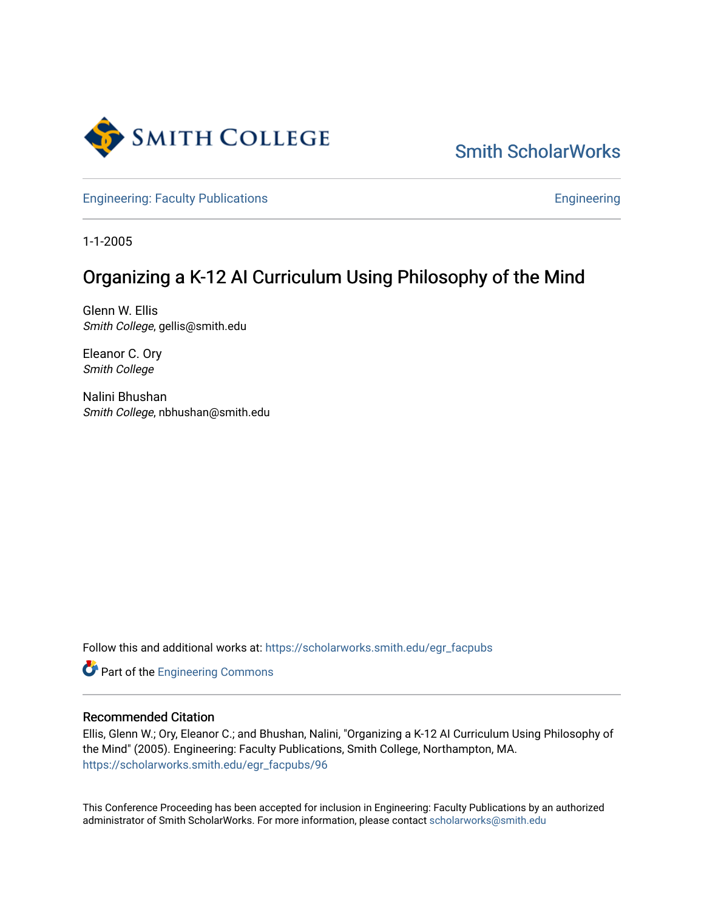

[Smith ScholarWorks](https://scholarworks.smith.edu/) 

[Engineering: Faculty Publications](https://scholarworks.smith.edu/egr_facpubs) **Engineering** 

1-1-2005

# Organizing a K-12 AI Curriculum Using Philosophy of the Mind

Glenn W. Ellis Smith College, gellis@smith.edu

Eleanor C. Ory Smith College

Nalini Bhushan Smith College, nbhushan@smith.edu

Follow this and additional works at: [https://scholarworks.smith.edu/egr\\_facpubs](https://scholarworks.smith.edu/egr_facpubs?utm_source=scholarworks.smith.edu%2Fegr_facpubs%2F96&utm_medium=PDF&utm_campaign=PDFCoverPages) 

Part of the [Engineering Commons](http://network.bepress.com/hgg/discipline/217?utm_source=scholarworks.smith.edu%2Fegr_facpubs%2F96&utm_medium=PDF&utm_campaign=PDFCoverPages)

#### Recommended Citation

Ellis, Glenn W.; Ory, Eleanor C.; and Bhushan, Nalini, "Organizing a K-12 AI Curriculum Using Philosophy of the Mind" (2005). Engineering: Faculty Publications, Smith College, Northampton, MA. [https://scholarworks.smith.edu/egr\\_facpubs/96](https://scholarworks.smith.edu/egr_facpubs/96?utm_source=scholarworks.smith.edu%2Fegr_facpubs%2F96&utm_medium=PDF&utm_campaign=PDFCoverPages)

This Conference Proceeding has been accepted for inclusion in Engineering: Faculty Publications by an authorized administrator of Smith ScholarWorks. For more information, please contact [scholarworks@smith.edu](mailto:scholarworks@smith.edu)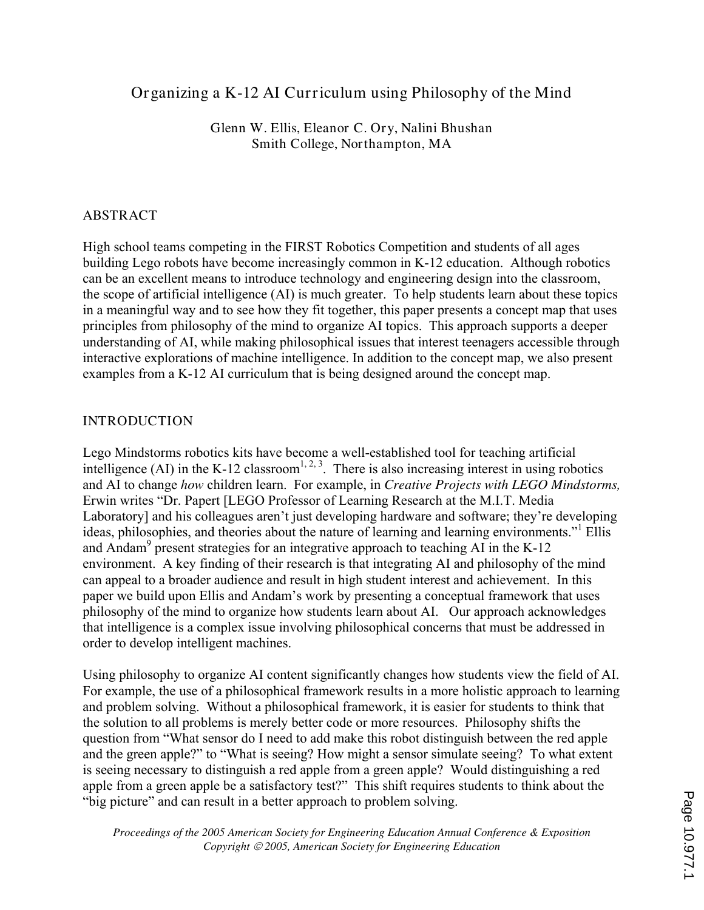# Organizing a K-12 AI Curriculum using Philosophy of the Mind

Glenn W. Ellis, Eleanor C. Ory, Nalini Bhushan Smith College, Northampton, MA

## ABSTRACT

High school teams competing in the FIRST Robotics Competition and students of all ages building Lego robots have become increasingly common in K-12 education. Although robotics can be an excellent means to introduce technology and engineering design into the classroom, the scope of artificial intelligence (AI) is much greater. To help students learn about these topics in a meaningful way and to see how they fit together, this paper presents a concept map that uses principles from philosophy of the mind to organize AI topics. This approach supports a deeper understanding of AI, while making philosophical issues that interest teenagers accessible through interactive explorations of machine intelligence. In addition to the concept map, we also present examples from a K-12 AI curriculum that is being designed around the concept map.

## INTRODUCTION

Lego Mindstorms robotics kits have become a well-established tool for teaching artificial intelligence (AI) in the K-12 classroom<sup>1, 2, 3</sup>. There is also increasing interest in using robotics and AI to change *how* children learn. For example, in *Creative Projects with LEGO Mindstorms,* Erwin writes "Dr. Papert [LEGO Professor of Learning Research at the M.I.T. Media Laboratory] and his colleagues aren't just developing hardware and software; they're developing ideas, philosophies, and theories about the nature of learning and learning environments."<sup>1</sup> Ellis and Andam<sup>9</sup> present strategies for an integrative approach to teaching AI in the K-12 environment. A key finding of their research is that integrating AI and philosophy of the mind can appeal to a broader audience and result in high student interest and achievement. In this paper we build upon Ellis and Andam's work by presenting a conceptual framework that uses philosophy of the mind to organize how students learn about AI. Our approach acknowledges that intelligence is a complex issue involving philosophical concerns that must be addressed in order to develop intelligent machines.

Using philosophy to organize AI content significantly changes how students view the field of AI. For example, the use of a philosophical framework results in a more holistic approach to learning and problem solving. Without a philosophical framework, it is easier for students to think that the solution to all problems is merely better code or more resources. Philosophy shifts the question from "What sensor do I need to add make this robot distinguish between the red apple and the green apple?" to "What is seeing? How might a sensor simulate seeing? To what extent is seeing necessary to distinguish a red apple from a green apple? Would distinguishing a red apple from a green apple be a satisfactory test?" This shift requires students to think about the "big picture" and can result in a better approach to problem solving.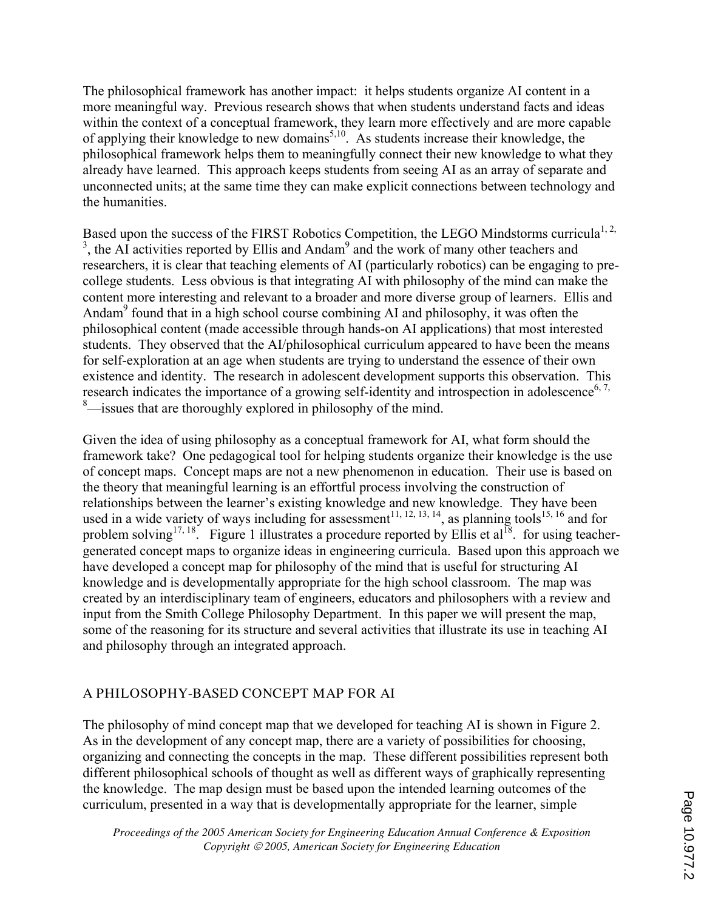The philosophical framework has another impact: it helps students organize AI content in a more meaningful way. Previous research shows that when students understand facts and ideas within the context of a conceptual framework, they learn more effectively and are more capable of applying their knowledge to new domains<sup> $5,10$ </sup>. As students increase their knowledge, the philosophical framework helps them to meaningfully connect their new knowledge to what they already have learned. This approach keeps students from seeing AI as an array of separate and unconnected units; at the same time they can make explicit connections between technology and the humanities.

Based upon the success of the FIRST Robotics Competition, the LEGO Mindstorms curricula<sup>1, 2,</sup>  $3$ , the AI activities reported by Ellis and Andam<sup>9</sup> and the work of many other teachers and researchers, it is clear that teaching elements of AI (particularly robotics) can be engaging to precollege students. Less obvious is that integrating AI with philosophy of the mind can make the content more interesting and relevant to a broader and more diverse group of learners. Ellis and Andam<sup>9</sup> found that in a high school course combining AI and philosophy, it was often the philosophical content (made accessible through hands-on AI applications) that most interested students. They observed that the AI/philosophical curriculum appeared to have been the means for self-exploration at an age when students are trying to understand the essence of their own existence and identity. The research in adolescent development supports this observation. This research indicates the importance of a growing self-identity and introspection in adolescence<sup>6, 7,</sup> <sup>8</sup>—issues that are thoroughly explored in philosophy of the mind.

Given the idea of using philosophy as a conceptual framework for AI, what form should the framework take? One pedagogical tool for helping students organize their knowledge is the use of concept maps. Concept maps are not a new phenomenon in education. Their use is based on the theory that meaningful learning is an effortful process involving the construction of relationships between the learner's existing knowledge and new knowledge. They have been used in a wide variety of ways including for assessment<sup>11, 12, 13, 14</sup>, as planning tools<sup>15, 16</sup> and for problem solving<sup>17, 18</sup>. Figure 1 illustrates a procedure reported by Ellis et al<sup>18</sup>. for using teachergenerated concept maps to organize ideas in engineering curricula. Based upon this approach we have developed a concept map for philosophy of the mind that is useful for structuring AI knowledge and is developmentally appropriate for the high school classroom. The map was created by an interdisciplinary team of engineers, educators and philosophers with a review and input from the Smith College Philosophy Department. In this paper we will present the map, some of the reasoning for its structure and several activities that illustrate its use in teaching AI and philosophy through an integrated approach.

# A PHILOSOPHY-BASED CONCEPT MAP FOR AI

The philosophy of mind concept map that we developed for teaching AI is shown in Figure 2. As in the development of any concept map, there are a variety of possibilities for choosing, organizing and connecting the concepts in the map. These different possibilities represent both different philosophical schools of thought as well as different ways of graphically representing the knowledge. The map design must be based upon the intended learning outcomes of the curriculum, presented in a way that is developmentally appropriate for the learner, simple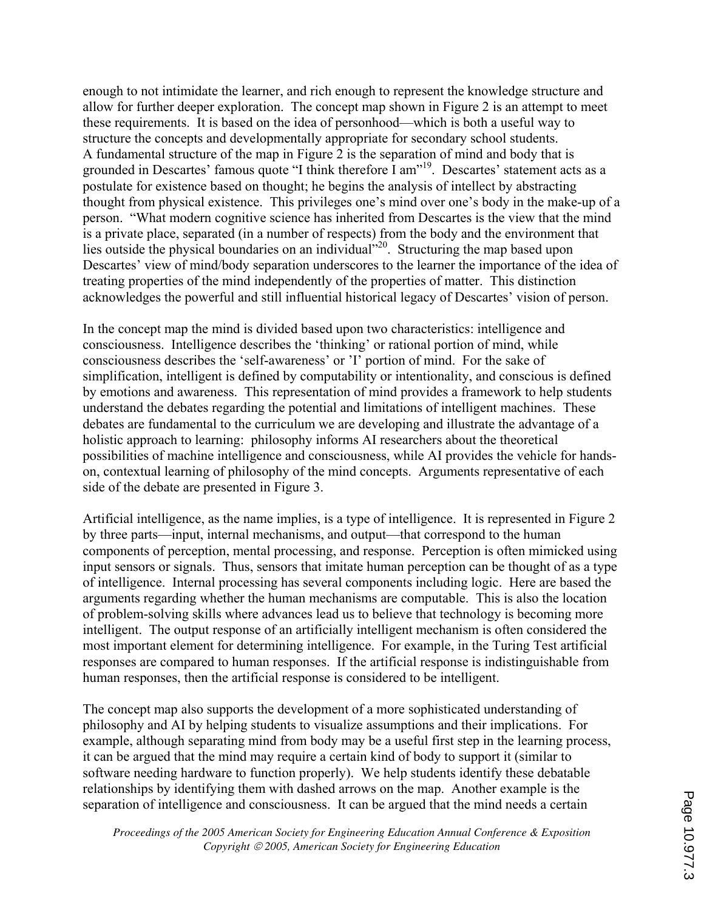enough to not intimidate the learner, and rich enough to represent the knowledge structure and allow for further deeper exploration. The concept map shown in Figure 2 is an attempt to meet these requirements. It is based on the idea of personhood—which is both a useful way to structure the concepts and developmentally appropriate for secondary school students. A fundamental structure of the map in Figure 2 is the separation of mind and body that is grounded in Descartes' famous quote "I think therefore I am"<sup>19</sup>. Descartes' statement acts as a postulate for existence based on thought; he begins the analysis of intellect by abstracting thought from physical existence. This privileges one's mind over one's body in the make-up of a person. "What modern cognitive science has inherited from Descartes is the view that the mind is a private place, separated (in a number of respects) from the body and the environment that lies outside the physical boundaries on an individual<sup>"20</sup>. Structuring the map based upon Descartes' view of mind/body separation underscores to the learner the importance of the idea of treating properties of the mind independently of the properties of matter. This distinction acknowledges the powerful and still influential historical legacy of Descartes' vision of person.

In the concept map the mind is divided based upon two characteristics: intelligence and consciousness. Intelligence describes the 'thinking' or rational portion of mind, while consciousness describes the 'self-awareness' or 'I' portion of mind. For the sake of simplification, intelligent is defined by computability or intentionality, and conscious is defined by emotions and awareness. This representation of mind provides a framework to help students understand the debates regarding the potential and limitations of intelligent machines. These debates are fundamental to the curriculum we are developing and illustrate the advantage of a holistic approach to learning: philosophy informs AI researchers about the theoretical possibilities of machine intelligence and consciousness, while AI provides the vehicle for handson, contextual learning of philosophy of the mind concepts. Arguments representative of each side of the debate are presented in Figure 3.

Artificial intelligence, as the name implies, is a type of intelligence. It is represented in Figure 2 by three parts—input, internal mechanisms, and output—that correspond to the human components of perception, mental processing, and response. Perception is often mimicked using input sensors or signals. Thus, sensors that imitate human perception can be thought of as a type of intelligence. Internal processing has several components including logic. Here are based the arguments regarding whether the human mechanisms are computable. This is also the location of problem-solving skills where advances lead us to believe that technology is becoming more intelligent. The output response of an artificially intelligent mechanism is often considered the most important element for determining intelligence. For example, in the Turing Test artificial responses are compared to human responses. If the artificial response is indistinguishable from human responses, then the artificial response is considered to be intelligent.

The concept map also supports the development of a more sophisticated understanding of philosophy and AI by helping students to visualize assumptions and their implications. For example, although separating mind from body may be a useful first step in the learning process, it can be argued that the mind may require a certain kind of body to support it (similar to software needing hardware to function properly). We help students identify these debatable relationships by identifying them with dashed arrows on the map. Another example is the separation of intelligence and consciousness. It can be argued that the mind needs a certain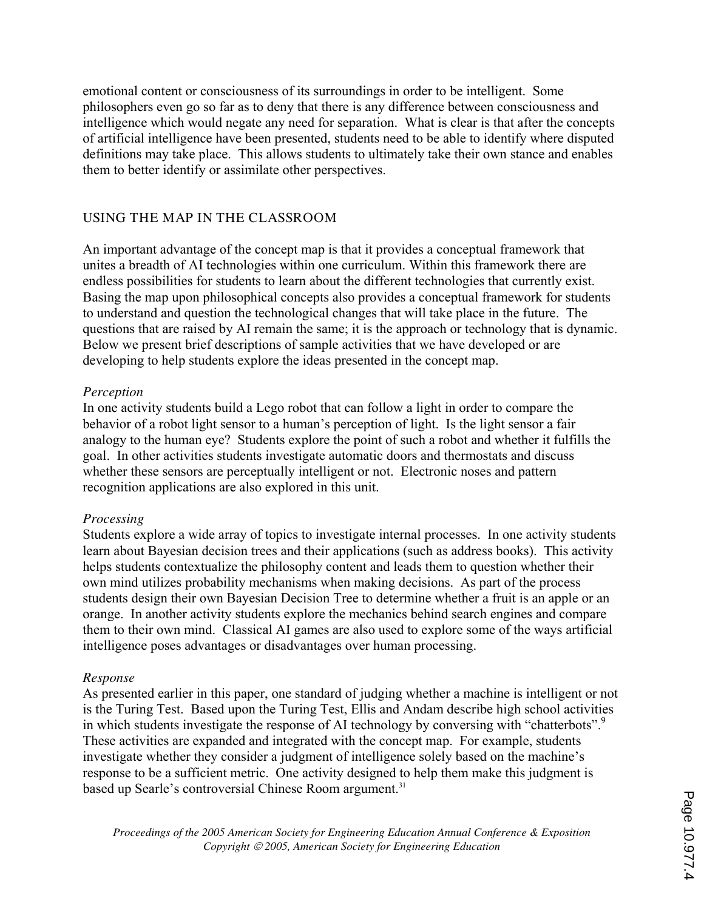emotional content or consciousness of its surroundings in order to be intelligent. Some philosophers even go so far as to deny that there is any difference between consciousness and intelligence which would negate any need for separation. What is clear is that after the concepts of artificial intelligence have been presented, students need to be able to identify where disputed definitions may take place. This allows students to ultimately take their own stance and enables them to better identify or assimilate other perspectives.

#### USING THE MAP IN THE CLASSROOM

An important advantage of the concept map is that it provides a conceptual framework that unites a breadth of AI technologies within one curriculum. Within this framework there are endless possibilities for students to learn about the different technologies that currently exist. Basing the map upon philosophical concepts also provides a conceptual framework for students to understand and question the technological changes that will take place in the future. The questions that are raised by AI remain the same; it is the approach or technology that is dynamic. Below we present brief descriptions of sample activities that we have developed or are developing to help students explore the ideas presented in the concept map.

#### *Perception*

In one activity students build a Lego robot that can follow a light in order to compare the behavior of a robot light sensor to a human's perception of light. Is the light sensor a fair analogy to the human eye? Students explore the point of such a robot and whether it fulfills the goal. In other activities students investigate automatic doors and thermostats and discuss whether these sensors are perceptually intelligent or not. Electronic noses and pattern recognition applications are also explored in this unit.

#### *Processing*

Students explore a wide array of topics to investigate internal processes. In one activity students learn about Bayesian decision trees and their applications (such as address books). This activity helps students contextualize the philosophy content and leads them to question whether their own mind utilizes probability mechanisms when making decisions. As part of the process students design their own Bayesian Decision Tree to determine whether a fruit is an apple or an orange. In another activity students explore the mechanics behind search engines and compare them to their own mind. Classical AI games are also used to explore some of the ways artificial intelligence poses advantages or disadvantages over human processing.

#### *Response*

As presented earlier in this paper, one standard of judging whether a machine is intelligent or not is the Turing Test. Based upon the Turing Test, Ellis and Andam describe high school activities in which students investigate the response of AI technology by conversing with "chatterbots".<sup>9</sup> These activities are expanded and integrated with the concept map. For example, students investigate whether they consider a judgment of intelligence solely based on the machine's response to be a sufficient metric. One activity designed to help them make this judgment is based up Searle's controversial Chinese Room argument.<sup>31</sup>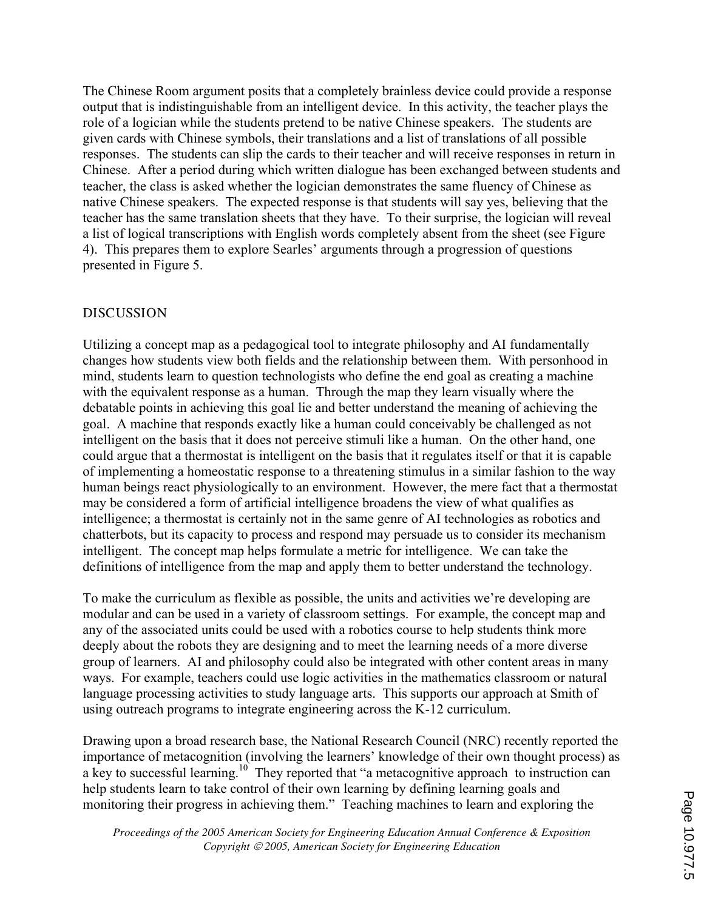The Chinese Room argument posits that a completely brainless device could provide a response output that is indistinguishable from an intelligent device. In this activity, the teacher plays the role of a logician while the students pretend to be native Chinese speakers. The students are given cards with Chinese symbols, their translations and a list of translations of all possible responses. The students can slip the cards to their teacher and will receive responses in return in Chinese. After a period during which written dialogue has been exchanged between students and teacher, the class is asked whether the logician demonstrates the same fluency of Chinese as native Chinese speakers. The expected response is that students will say yes, believing that the teacher has the same translation sheets that they have. To their surprise, the logician will reveal a list of logical transcriptions with English words completely absent from the sheet (see Figure 4). This prepares them to explore Searles' arguments through a progression of questions presented in Figure 5.

#### **DISCUSSION**

Utilizing a concept map as a pedagogical tool to integrate philosophy and AI fundamentally changes how students view both fields and the relationship between them. With personhood in mind, students learn to question technologists who define the end goal as creating a machine with the equivalent response as a human. Through the map they learn visually where the debatable points in achieving this goal lie and better understand the meaning of achieving the goal. A machine that responds exactly like a human could conceivably be challenged as not intelligent on the basis that it does not perceive stimuli like a human. On the other hand, one could argue that a thermostat is intelligent on the basis that it regulates itself or that it is capable of implementing a homeostatic response to a threatening stimulus in a similar fashion to the way human beings react physiologically to an environment. However, the mere fact that a thermostat may be considered a form of artificial intelligence broadens the view of what qualifies as intelligence; a thermostat is certainly not in the same genre of AI technologies as robotics and chatterbots, but its capacity to process and respond may persuade us to consider its mechanism intelligent. The concept map helps formulate a metric for intelligence. We can take the definitions of intelligence from the map and apply them to better understand the technology.

To make the curriculum as flexible as possible, the units and activities we're developing are modular and can be used in a variety of classroom settings. For example, the concept map and any of the associated units could be used with a robotics course to help students think more deeply about the robots they are designing and to meet the learning needs of a more diverse group of learners. AI and philosophy could also be integrated with other content areas in many ways. For example, teachers could use logic activities in the mathematics classroom or natural language processing activities to study language arts. This supports our approach at Smith of using outreach programs to integrate engineering across the K-12 curriculum.

Drawing upon a broad research base, the National Research Council (NRC) recently reported the importance of metacognition (involving the learners' knowledge of their own thought process) as a key to successful learning.<sup>10</sup> They reported that "a metacognitive approach to instruction can help students learn to take control of their own learning by defining learning goals and monitoring their progress in achieving them." Teaching machines to learn and exploring the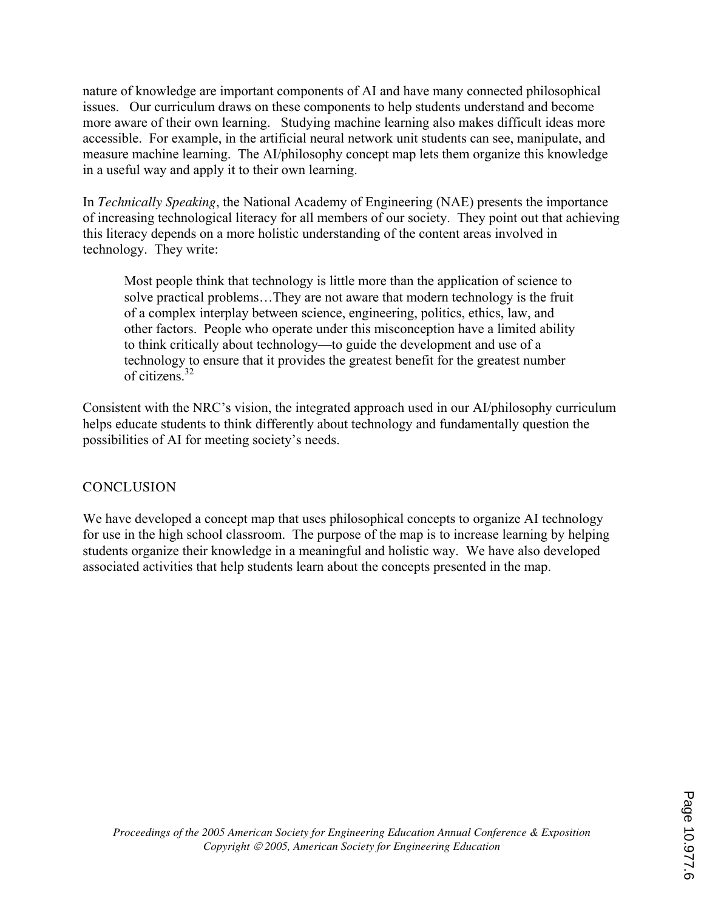nature of knowledge are important components of AI and have many connected philosophical issues. Our curriculum draws on these components to help students understand and become more aware of their own learning. Studying machine learning also makes difficult ideas more accessible. For example, in the artificial neural network unit students can see, manipulate, and measure machine learning. The AI/philosophy concept map lets them organize this knowledge in a useful way and apply it to their own learning.

In *Technically Speaking*, the National Academy of Engineering (NAE) presents the importance of increasing technological literacy for all members of our society. They point out that achieving this literacy depends on a more holistic understanding of the content areas involved in technology. They write:

Most people think that technology is little more than the application of science to solve practical problems…They are not aware that modern technology is the fruit of a complex interplay between science, engineering, politics, ethics, law, and other factors. People who operate under this misconception have a limited ability to think critically about technology—to guide the development and use of a technology to ensure that it provides the greatest benefit for the greatest number of citizens $32$ 

Consistent with the NRC's vision, the integrated approach used in our AI/philosophy curriculum helps educate students to think differently about technology and fundamentally question the possibilities of AI for meeting society's needs.

#### **CONCLUSION**

We have developed a concept map that uses philosophical concepts to organize AI technology for use in the high school classroom. The purpose of the map is to increase learning by helping students organize their knowledge in a meaningful and holistic way. We have also developed associated activities that help students learn about the concepts presented in the map.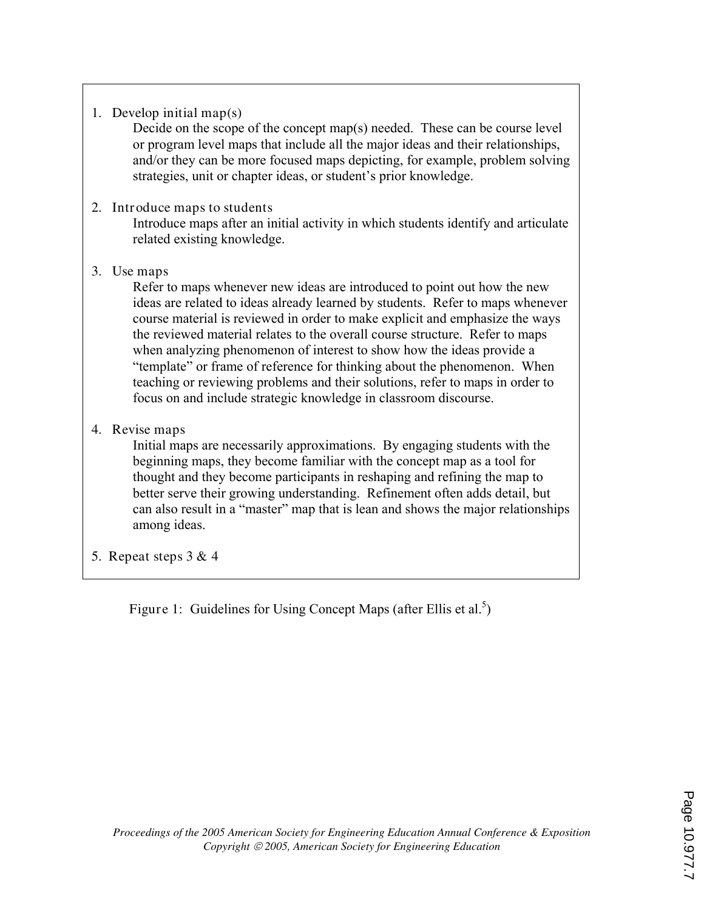1. Develop initial map(s)

Decide on the scope of the concept map(s) needed. These can be course level or program level maps that include all the major ideas and their relationships, and/or they can be more focused maps depicting, for example, problem solving strategies, unit or chapter ideas, or student's prior knowledge.

#### 2. Introduce maps to students

Introduce maps after an initial activity in which students identify and articulate related existing knowledge.

## 3. Use maps

Refer to maps whenever new ideas are introduced to point out how the new ideas are related to ideas already learned by students. Refer to maps whenever course material is reviewed in order to make explicit and emphasize the ways the reviewed material relates to the overall course structure. Refer to maps when analyzing phenomenon of interest to show how the ideas provide a "template" or frame of reference for thinking about the phenomenon. When teaching or reviewing problems and their solutions, refer to maps in order to focus on and include strategic knowledge in classroom discourse.

# 4. Revise maps

Initial maps are necessarily approximations. By engaging students with the beginning maps, they become familiar with the concept map as a tool for thought and they become participants in reshaping and refining the map to better serve their growing understanding. Refinement often adds detail, but can also result in a "master" map that is lean and shows the major relationships among ideas.

5. Repeat steps 3 & 4

Figure 1: Guidelines for Using Concept Maps (after Ellis et al.<sup>5</sup>)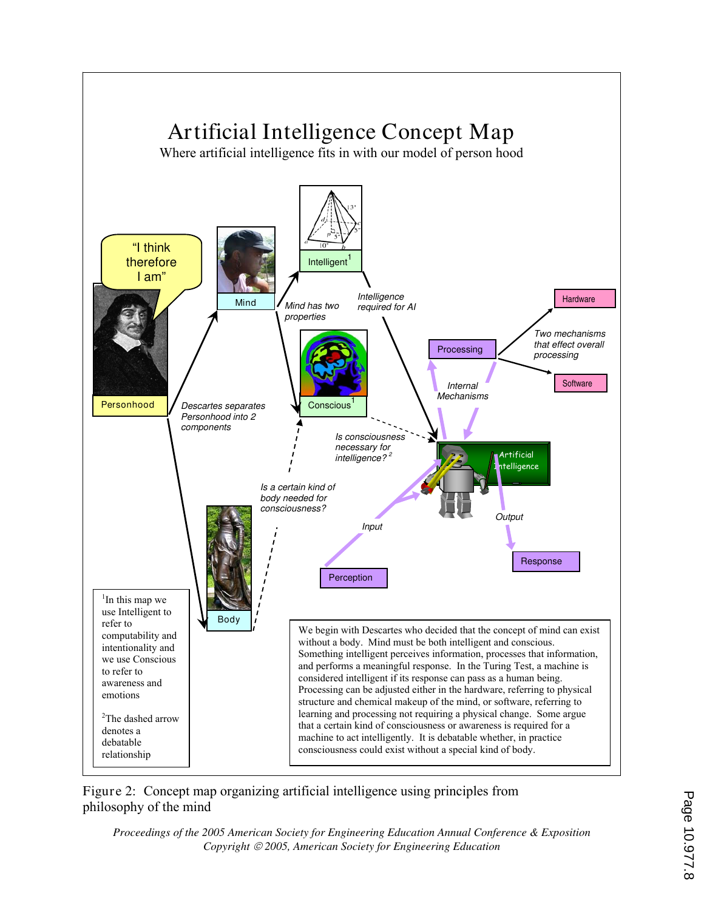

Figure 2: Concept map organizing artificial intelligence using principles from philosophy of the mind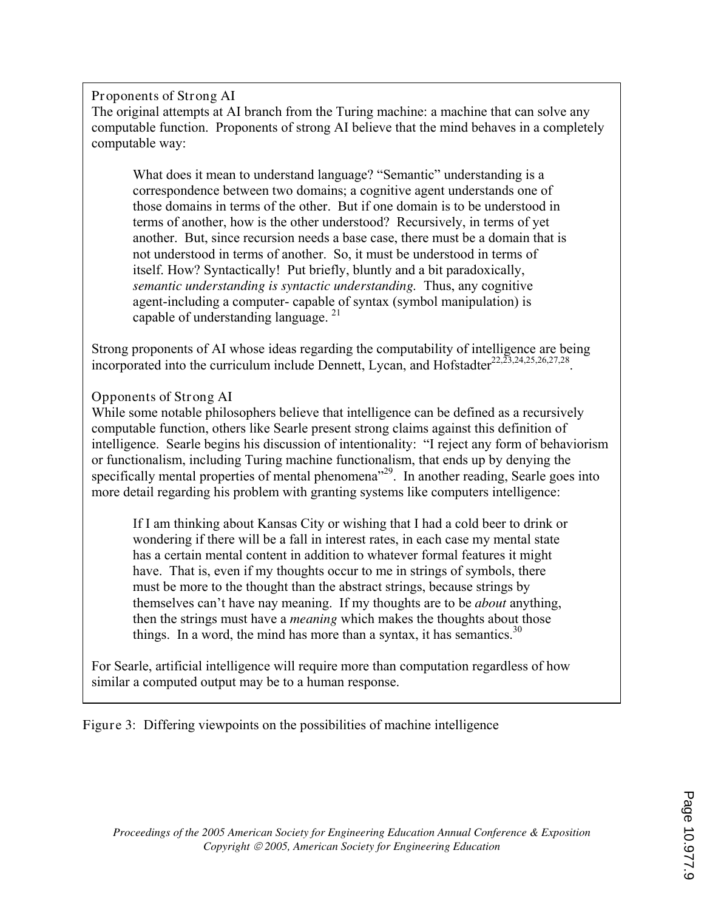Proponents of Strong AI

The original attempts at AI branch from the Turing machine: a machine that can solve any computable function. Proponents of strong AI believe that the mind behaves in a completely computable way:

What does it mean to understand language? "Semantic" understanding is a correspondence between two domains; a cognitive agent understands one of those domains in terms of the other. But if one domain is to be understood in terms of another, how is the other understood? Recursively, in terms of yet another. But, since recursion needs a base case, there must be a domain that is not understood in terms of another. So, it must be understood in terms of itself. How? Syntactically! Put briefly, bluntly and a bit paradoxically, *semantic understanding is syntactic understanding.* Thus, any cognitive agent-including a computer- capable of syntax (symbol manipulation) is capable of understanding language. <sup>21</sup>

Strong proponents of AI whose ideas regarding the computability of intelligence are being incorporated into the curriculum include Dennett, Lycan, and Hofstadter $^{22,23,24,25,26,27,28}$ .

# Opponents of Strong AI

While some notable philosophers believe that intelligence can be defined as a recursively computable function, others like Searle present strong claims against this definition of intelligence. Searle begins his discussion of intentionality: "I reject any form of behaviorism or functionalism, including Turing machine functionalism, that ends up by denying the specifically mental properties of mental phenomena<sup>"29</sup>. In another reading, Searle goes into more detail regarding his problem with granting systems like computers intelligence:

If I am thinking about Kansas City or wishing that I had a cold beer to drink or wondering if there will be a fall in interest rates, in each case my mental state has a certain mental content in addition to whatever formal features it might have. That is, even if my thoughts occur to me in strings of symbols, there must be more to the thought than the abstract strings, because strings by themselves can't have nay meaning. If my thoughts are to be *about* anything, then the strings must have a *meaning* which makes the thoughts about those things. In a word, the mind has more than a syntax, it has semantics.<sup>30</sup>

For Searle, artificial intelligence will require more than computation regardless of how similar a computed output may be to a human response.

Figure 3: Differing viewpoints on the possibilities of machine intelligence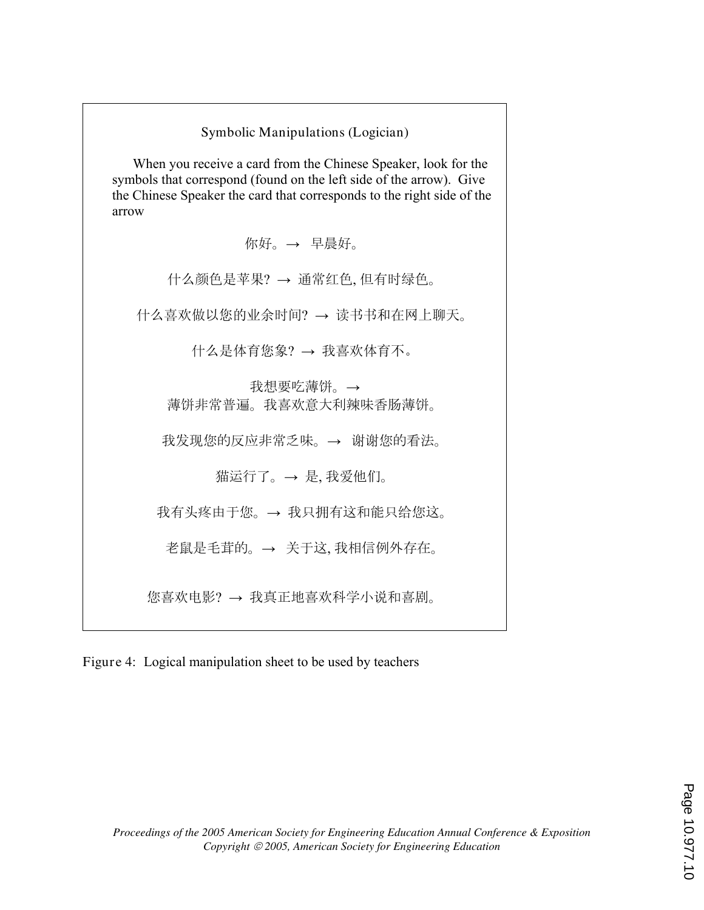| Symbolic Manipulations (Logician)                                                                                                                                                                                        |
|--------------------------------------------------------------------------------------------------------------------------------------------------------------------------------------------------------------------------|
| When you receive a card from the Chinese Speaker, look for the<br>symbols that correspond (found on the left side of the arrow). Give<br>the Chinese Speaker the card that corresponds to the right side of the<br>arrow |
| 你好。→ 早晨好。                                                                                                                                                                                                                |
| 什么颜色是苹果? → 通常红色, 但有时绿色。                                                                                                                                                                                                  |
| 什么喜欢做以您的业余时间? → 读书书和在网上聊天。                                                                                                                                                                                               |
| 什么是体育您象? → 我喜欢体育不。                                                                                                                                                                                                       |
| 我想要吃薄饼。→<br>薄饼非常普遍。我喜欢意大利辣味香肠薄饼。                                                                                                                                                                                         |
| 我发现您的反应非常乏味。→ 谢谢您的看法。                                                                                                                                                                                                    |
| 猫运行了。→ 是,我爱他们。                                                                                                                                                                                                           |
| 我有头疼由于您。→ 我只拥有这和能只给您这。                                                                                                                                                                                                   |
| 老鼠是毛茸的。→ 关于这,我相信例外存在。                                                                                                                                                                                                    |
| 您喜欢电影? → 我真正地喜欢科学小说和喜剧。                                                                                                                                                                                                  |

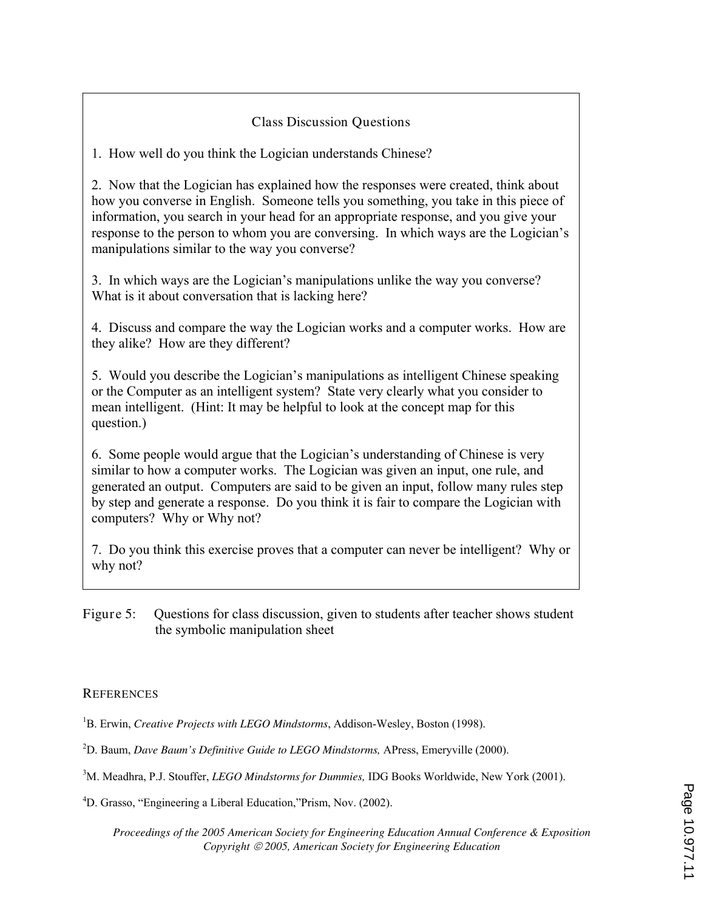## Class Discussion Questions

1. How well do you think the Logician understands Chinese?

2. Now that the Logician has explained how the responses were created, think about how you converse in English. Someone tells you something, you take in this piece of information, you search in your head for an appropriate response, and you give your response to the person to whom you are conversing. In which ways are the Logician's manipulations similar to the way you converse?

3. In which ways are the Logician's manipulations unlike the way you converse? What is it about conversation that is lacking here?

4. Discuss and compare the way the Logician works and a computer works. How are they alike? How are they different?

5. Would you describe the Logician's manipulations as intelligent Chinese speaking or the Computer as an intelligent system? State very clearly what you consider to mean intelligent. (Hint: It may be helpful to look at the concept map for this question.)

6. Some people would argue that the Logician's understanding of Chinese is very similar to how a computer works. The Logician was given an input, one rule, and generated an output. Computers are said to be given an input, follow many rules step by step and generate a response. Do you think it is fair to compare the Logician with computers? Why or Why not?

7. Do you think this exercise proves that a computer can never be intelligent? Why or why not?

Figure 5: Questions for class discussion, given to students after teacher shows student the symbolic manipulation sheet

#### **REFERENCES**

- <sup>1</sup>B. Erwin, *Creative Projects with LEGO Mindstorms*, Addison-Wesley, Boston (1998).
- <sup>2</sup>D. Baum, *Dave Baum's Definitive Guide to LEGO Mindstorms,* APress, Emeryville (2000).
- <sup>3</sup>M. Meadhra, P.J. Stouffer, *LEGO Mindstorms for Dummies,* IDG Books Worldwide, New York (2001).
- <sup>4</sup>D. Grasso, "Engineering a Liberal Education,"Prism, Nov. (2002).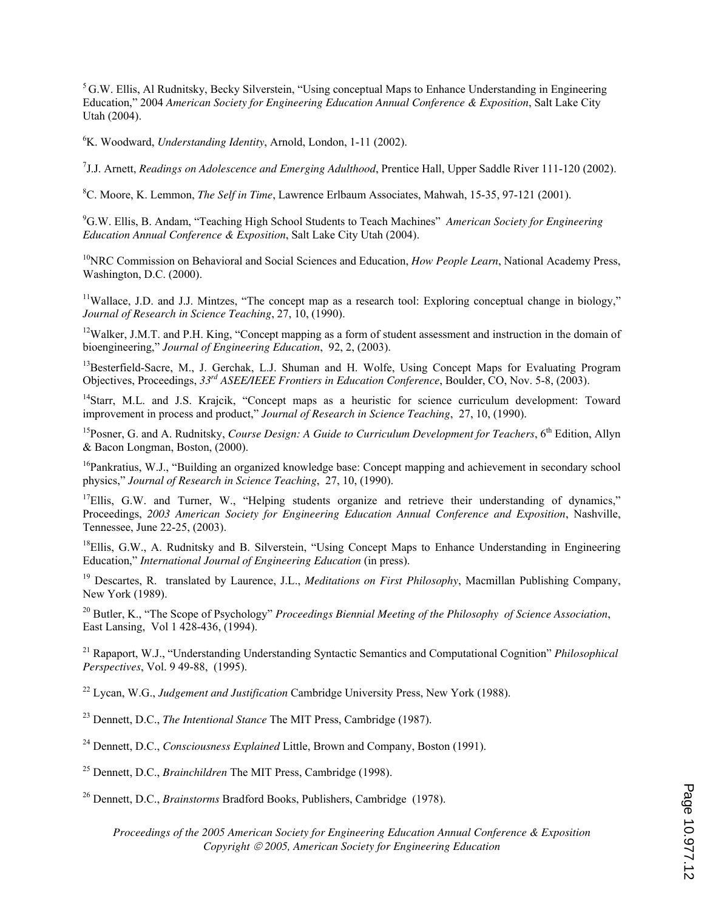<sup>5</sup>G.W. Ellis, Al Rudnitsky, Becky Silverstein, "Using conceptual Maps to Enhance Understanding in Engineering Education," 2004 *American Society for Engineering Education Annual Conference & Exposition*, Salt Lake City Utah (2004).

<sup>6</sup>K. Woodward, *Understanding Identity*, Arnold, London, 1-11 (2002).

7 J.J. Arnett, *Readings on Adolescence and Emerging Adulthood*, Prentice Hall, Upper Saddle River 111-120 (2002).

<sup>8</sup>C. Moore, K. Lemmon, *The Self in Time*, Lawrence Erlbaum Associates, Mahwah, 15-35, 97-121 (2001).

<sup>9</sup>G.W. Ellis, B. Andam, "Teaching High School Students to Teach Machines" *American Society for Engineering Education Annual Conference & Exposition*, Salt Lake City Utah (2004).

<sup>10</sup>NRC Commission on Behavioral and Social Sciences and Education, *How People Learn*, National Academy Press, Washington, D.C. (2000).

<sup>11</sup>Wallace, J.D. and J.J. Mintzes, "The concept map as a research tool: Exploring conceptual change in biology," *Journal of Research in Science Teaching*, 27, 10, (1990).

<sup>12</sup>Walker, J.M.T. and P.H. King, "Concept mapping as a form of student assessment and instruction in the domain of bioengineering," *Journal of Engineering Education*, 92, 2, (2003).

<sup>13</sup>Besterfield-Sacre, M., J. Gerchak, L.J. Shuman and H. Wolfe, Using Concept Maps for Evaluating Program Objectives, Proceedings, *33rd ASEE/IEEE Frontiers in Education Conference*, Boulder, CO, Nov. 5-8, (2003).

<sup>14</sup>Starr, M.L. and J.S. Krajcik, "Concept maps as a heuristic for science curriculum development: Toward improvement in process and product," *Journal of Research in Science Teaching*, 27, 10, (1990).

<sup>15</sup>Posner, G. and A. Rudnitsky, *Course Design: A Guide to Curriculum Development for Teachers*, 6<sup>th</sup> Edition, Allyn & Bacon Longman, Boston, (2000).

<sup>16</sup>Pankratius, W.J., "Building an organized knowledge base: Concept mapping and achievement in secondary school physics," *Journal of Research in Science Teaching*, 27, 10, (1990).

<sup>17</sup>Ellis, G.W. and Turner, W., "Helping students organize and retrieve their understanding of dynamics," Proceedings, *2003 American Society for Engineering Education Annual Conference and Exposition*, Nashville, Tennessee, June 22-25, (2003).

<sup>18</sup>Ellis, G.W., A. Rudnitsky and B. Silverstein, "Using Concept Maps to Enhance Understanding in Engineering Education," *International Journal of Engineering Education* (in press).

<sup>19</sup> Descartes, R. translated by Laurence, J.L., *Meditations on First Philosophy*, Macmillan Publishing Company, New York (1989).

<sup>20</sup> Butler, K., "The Scope of Psychology" *Proceedings Biennial Meeting of the Philosophy of Science Association*, East Lansing, Vol 1 428-436, (1994).

<sup>21</sup> Rapaport, W.J., "Understanding Understanding Syntactic Semantics and Computational Cognition" *Philosophical Perspectives*, Vol. 9 49-88, (1995).

<sup>22</sup> Lycan, W.G., *Judgement and Justification* Cambridge University Press, New York (1988).

<sup>23</sup> Dennett, D.C., *The Intentional Stance* The MIT Press, Cambridge (1987).

<sup>24</sup> Dennett, D.C., *Consciousness Explained* Little, Brown and Company, Boston (1991).

<sup>25</sup> Dennett, D.C., *Brainchildren* The MIT Press, Cambridge (1998).

<sup>26</sup> Dennett, D.C., *Brainstorms* Bradford Books, Publishers, Cambridge (1978).